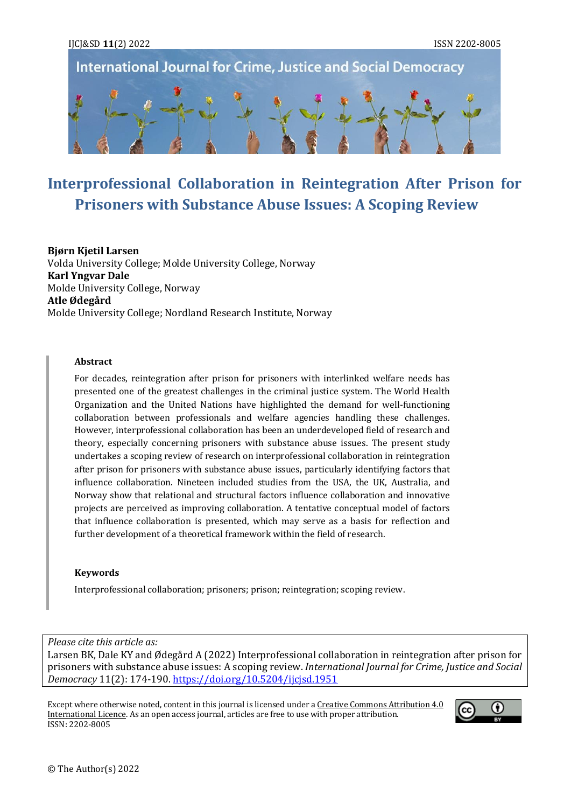



# **Interprofessional Collaboration in Reintegration After Prison for Prisoners with Substance Abuse Issues: A Scoping Review**

#### **Bjørn Kjetil Larsen**

Volda University College; Molde University College, Norway **Karl Yngvar Dale** Molde University College, Norway **Atle Ødegård** Molde University College; Nordland Research Institute, Norway

#### **Abstract**

For decades, reintegration after prison for prisoners with interlinked welfare needs has presented one of the greatest challenges in the criminal justice system. The World Health Organization and the United Nations have highlighted the demand for well-functioning collaboration between professionals and welfare agencies handling these challenges. However, interprofessional collaboration has been an underdeveloped field of research and theory, especially concerning prisoners with substance abuse issues. The present study undertakes a scoping review of research on interprofessional collaboration in reintegration after prison for prisoners with substance abuse issues, particularly identifying factors that influence collaboration. Nineteen included studies from the USA, the UK, Australia, and Norway show that relational and structural factors influence collaboration and innovative projects are perceived as improving collaboration. A tentative conceptual model of factors that influence collaboration is presented, which may serve as a basis for reflection and further development of a theoretical framework within the field of research.

#### **Keywords**

Interprofessional collaboration; prisoners; prison; reintegration; scoping review.

*Please cite this article as:*

Larsen BK, Dale KY and Ødegård A (2022) Interprofessional collaboration in reintegration after prison for prisoners with substance abuse issues: A scoping review. *International Journal for Crime, Justice and Social Democracy* 11(2): 174-190[. https://doi.org/10.5204/ijcjsd.1951](https://doi.org/10.5204/ijcjsd.1951)

Except where otherwise noted, content in this journal is licensed under [a Creative Commons Attribution 4.0](https://creativecommons.org/licenses/by/4.0/)  [International Licence.](https://creativecommons.org/licenses/by/4.0/) As an open access journal, articles are free to use with proper attribution. ISSN: 2202-8005

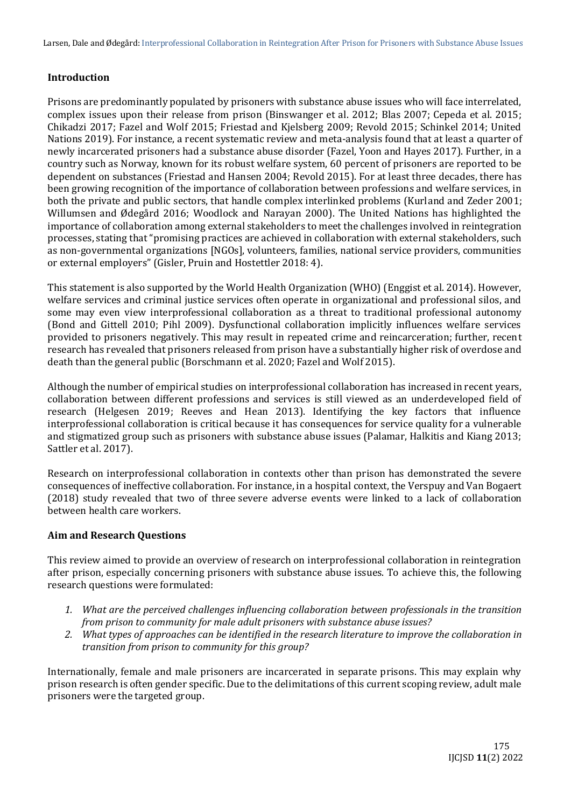Larsen, Dale and Ødegård: Interprofessional Collaboration in Reintegration After Prison for Prisoners with Substance Abuse Issues

## **Introduction**

Prisons are predominantly populated by prisoners with substance abuse issues who will face interrelated, complex issues upon their release from prison (Binswanger et al. 2012; Blas 2007; Cepeda et al. 2015; Chikadzi 2017; Fazel and Wolf 2015; Friestad and Kjelsberg 2009; Revold 2015; Schinkel 2014; United Nations 2019). For instance, a recent systematic review and meta-analysis found that at least a quarter of newly incarcerated prisoners had a substance abuse disorder (Fazel, Yoon and Hayes 2017). Further, in a country such as Norway, known for its robust welfare system, 60 percent of prisoners are reported to be dependent on substances (Friestad and Hansen 2004; Revold 2015). For at least three decades, there has been growing recognition of the importance of collaboration between professions and welfare services, in both the private and public sectors, that handle complex interlinked problems (Kurland and Zeder 2001; Willumsen and Ødegård 2016; Woodlock and Narayan 2000). The United Nations has highlighted the importance of collaboration among external stakeholders to meet the challenges involved in reintegration processes, stating that "promising practices are achieved in collaboration with external stakeholders, such as non-governmental organizations [NGOs], volunteers, families, national service providers, communities or external employers" (Gisler, Pruin and Hostettler 2018: 4).

This statement is also supported by the World Health Organization (WHO) (Enggist et al. 2014). However, welfare services and criminal justice services often operate in organizational and professional silos, and some may even view interprofessional collaboration as a threat to traditional professional autonomy (Bond and Gittell 2010; Pihl 2009). Dysfunctional collaboration implicitly influences welfare services provided to prisoners negatively. This may result in repeated crime and reincarceration; further, recent research has revealed that prisoners released from prison have a substantially higher risk of overdose and death than the general public (Borschmann et al. 2020; Fazel and Wolf 2015).

Although the number of empirical studies on interprofessional collaboration has increased in recent years, collaboration between different professions and services is still viewed as an underdeveloped field of research (Helgesen 2019; Reeves and Hean 2013). Identifying the key factors that influence interprofessional collaboration is critical because it has consequences for service quality for a vulnerable and stigmatized group such as prisoners with substance abuse issues (Palamar, Halkitis and Kiang 2013; Sattler et al. 2017).

Research on interprofessional collaboration in contexts other than prison has demonstrated the severe consequences of ineffective collaboration. For instance, in a hospital context, the Verspuy and Van Bogaert (2018) study revealed that two of three severe adverse events were linked to a lack of collaboration between health care workers.

## **Aim and Research Questions**

This review aimed to provide an overview of research on interprofessional collaboration in reintegration after prison, especially concerning prisoners with substance abuse issues. To achieve this, the following research questions were formulated:

- *1. What are the perceived challenges influencing collaboration between professionals in the transition from prison to community for male adult prisoners with substance abuse issues?*
- *2. What types of approaches can be identified in the research literature to improve the collaboration in transition from prison to community for this group?*

Internationally, female and male prisoners are incarcerated in separate prisons. This may explain why prison research is often gender specific. Due to the delimitations of this current scoping review, adult male prisoners were the targeted group.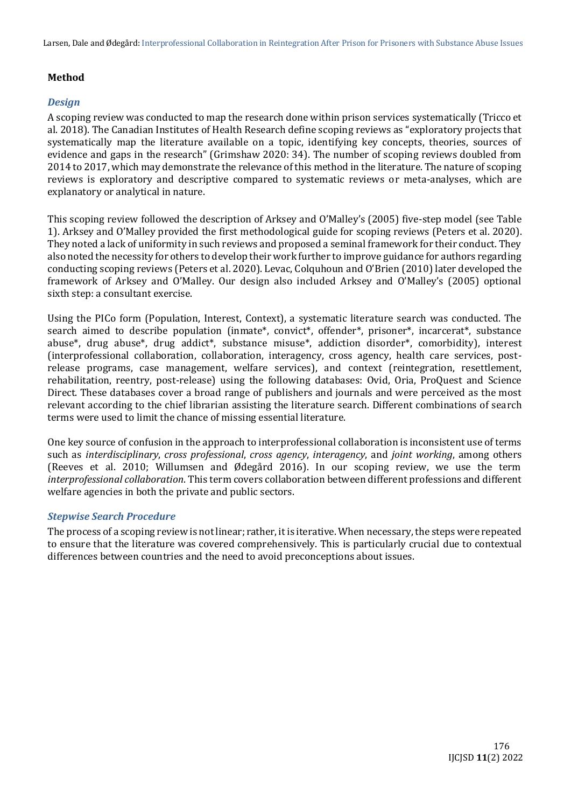Larsen, Dale and Ødegård: Interprofessional Collaboration in Reintegration After Prison for Prisoners with Substance Abuse Issues

## **Method**

#### *Design*

A scoping review was conducted to map the research done within prison services systematically (Tricco et al. 2018). The Canadian Institutes of Health Research define scoping reviews as "exploratory projects that systematically map the literature available on a topic, identifying key concepts, theories, sources of evidence and gaps in the research" (Grimshaw 2020: 34). The number of scoping reviews doubled from 2014 to 2017, which may demonstrate the relevance of this method in the literature. The nature of scoping reviews is exploratory and descriptive compared to systematic reviews or meta-analyses, which are explanatory or analytical in nature.

This scoping review followed the description of Arksey and O'Malley's (2005) five-step model (see Table 1). Arksey and O'Malley provided the first methodological guide for scoping reviews (Peters et al. 2020). They noted a lack of uniformity in such reviews and proposed a seminal framework for their conduct. They also noted the necessity for others to develop their work further to improve guidance for authors regarding conducting scoping reviews (Peters et al. 2020). Levac, Colquhoun and O'Brien (2010) later developed the framework of Arksey and O'Malley. Our design also included Arksey and O'Malley's (2005) optional sixth step: a consultant exercise.

Using the PICo form (Population, Interest, Context), a systematic literature search was conducted. The search aimed to describe population (inmate\*, convict\*, offender\*, prisoner\*, incarcerat\*, substance abuse\*, drug abuse\*, drug addict\*, substance misuse\*, addiction disorder\*, comorbidity), interest (interprofessional collaboration, collaboration, interagency, cross agency, health care services, postrelease programs, case management, welfare services), and context (reintegration, resettlement, rehabilitation, reentry, post-release) using the following databases: Ovid, Oria, ProQuest and Science Direct. These databases cover a broad range of publishers and journals and were perceived as the most relevant according to the chief librarian assisting the literature search. Different combinations of search terms were used to limit the chance of missing essential literature.

One key source of confusion in the approach to interprofessional collaboration is inconsistent use of terms such as *interdisciplinary*, *cross professional*, *cross agency*, *interagency*, and *joint working*, among others (Reeves et al. 2010; Willumsen and Ødegård 2016). In our scoping review, we use the term *interprofessional collaboration*. This term covers collaboration between different professions and different welfare agencies in both the private and public sectors.

#### *Stepwise Search Procedure*

The process of a scoping review is not linear; rather, it is iterative. When necessary, the steps were repeated to ensure that the literature was covered comprehensively. This is particularly crucial due to contextual differences between countries and the need to avoid preconceptions about issues.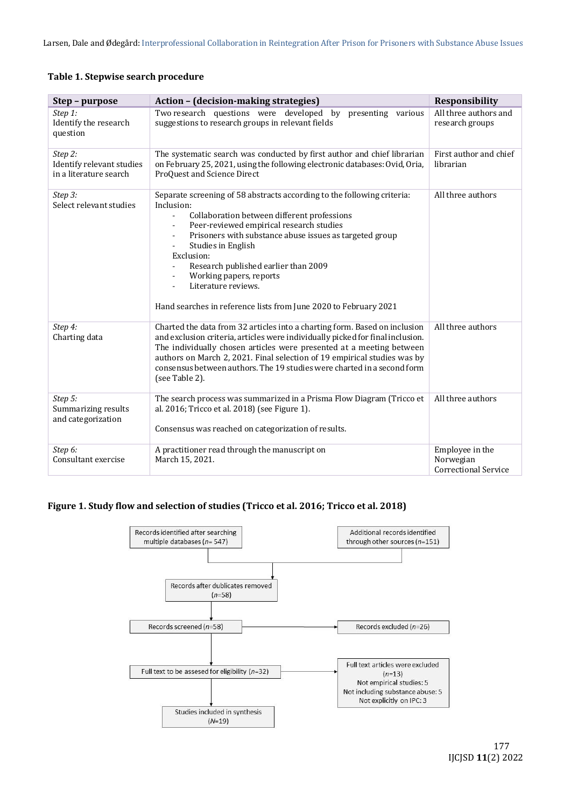|  |  |  | Table 1. Stepwise search procedure |
|--|--|--|------------------------------------|
|--|--|--|------------------------------------|

| Step – purpose                                                 | Action - (decision-making strategies)                                                                                                                                                                                                                                                                                                                                                                                                                                           | <b>Responsibility</b>                                       |
|----------------------------------------------------------------|---------------------------------------------------------------------------------------------------------------------------------------------------------------------------------------------------------------------------------------------------------------------------------------------------------------------------------------------------------------------------------------------------------------------------------------------------------------------------------|-------------------------------------------------------------|
| Step 1:<br>Identify the research<br>question                   | Two research questions were developed by presenting various<br>suggestions to research groups in relevant fields                                                                                                                                                                                                                                                                                                                                                                | All three authors and<br>research groups                    |
| Step 2:<br>Identify relevant studies<br>in a literature search | The systematic search was conducted by first author and chief librarian<br>on February 25, 2021, using the following electronic databases: Ovid, Oria,<br>ProQuest and Science Direct                                                                                                                                                                                                                                                                                           | First author and chief<br>librarian                         |
| Step 3:<br>Select relevant studies                             | Separate screening of 58 abstracts according to the following criteria:<br>Inclusion:<br>Collaboration between different professions<br>÷.<br>Peer-reviewed empirical research studies<br>Prisoners with substance abuse issues as targeted group<br>$\overline{\phantom{0}}$<br>Studies in English<br>Exclusion:<br>Research published earlier than 2009<br>Working papers, reports<br>Literature reviews.<br>Hand searches in reference lists from June 2020 to February 2021 | All three authors                                           |
| Step 4:<br>Charting data                                       | Charted the data from 32 articles into a charting form. Based on inclusion<br>and exclusion criteria, articles were individually picked for final inclusion.<br>The individually chosen articles were presented at a meeting between<br>authors on March 2, 2021. Final selection of 19 empirical studies was by<br>consensus between authors. The 19 studies were charted in a second form<br>(see Table 2).                                                                   | All three authors                                           |
| Step 5:<br>Summarizing results<br>and categorization           | The search process was summarized in a Prisma Flow Diagram (Tricco et<br>al. 2016; Tricco et al. 2018) (see Figure 1).<br>Consensus was reached on categorization of results.                                                                                                                                                                                                                                                                                                   | All three authors                                           |
| Step 6:<br>Consultant exercise                                 | A practitioner read through the manuscript on<br>March 15, 2021.                                                                                                                                                                                                                                                                                                                                                                                                                | Employee in the<br>Norwegian<br><b>Correctional Service</b> |

## **Figure 1. Study flow and selection of studies (Tricco et al. 2016; Tricco et al. 2018)**

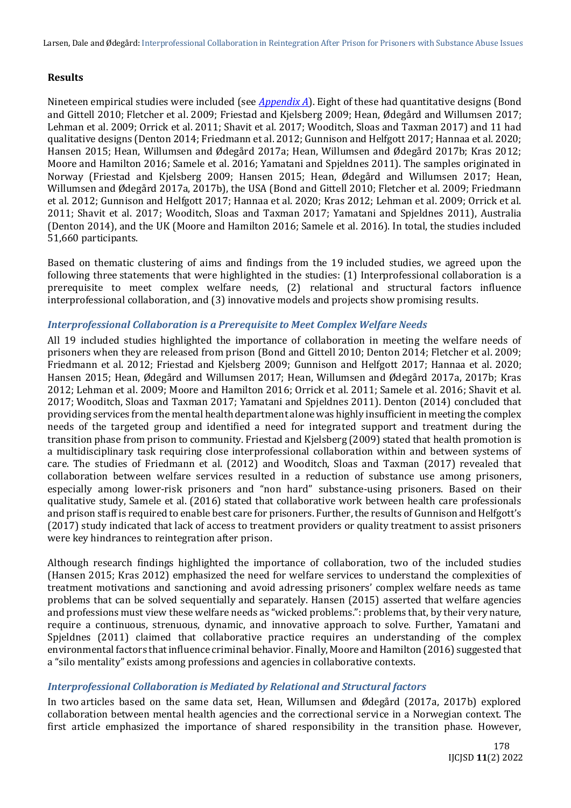## **Results**

Nineteen empirical studies were included (see *[Appendix A](#page-13-0)*). Eight of these had quantitative designs (Bond and Gittell 2010; Fletcher et al. 2009; Friestad and Kjelsberg 2009; Hean, Ødegård and Willumsen 2017; Lehman et al. 2009; Orrick et al. 2011; Shavit et al. 2017; Wooditch, Sloas and Taxman 2017) and 11 had qualitative designs (Denton 2014; Friedmann et al. 2012; Gunnison and Helfgott 2017; Hannaa et al. 2020; Hansen 2015; Hean, Willumsen and Ødegård 2017a; Hean, Willumsen and Ødegård 2017b; Kras 2012; Moore and Hamilton 2016; Samele et al. 2016; Yamatani and Spjeldnes 2011). The samples originated in Norway (Friestad and Kjelsberg 2009; Hansen 2015; Hean, Ødegård and Willumsen 2017; Hean, Willumsen and Ødegård 2017a, 2017b), the USA (Bond and Gittell 2010; Fletcher et al. 2009; Friedmann et al. 2012; Gunnison and Helfgott 2017; Hannaa et al. 2020; Kras 2012; Lehman et al. 2009; Orrick et al. 2011; Shavit et al. 2017; Wooditch, Sloas and Taxman 2017; Yamatani and Spjeldnes 2011), Australia (Denton 2014), and the UK (Moore and Hamilton 2016; Samele et al. 2016). In total, the studies included 51,660 participants.

Based on thematic clustering of aims and findings from the 19 included studies, we agreed upon the following three statements that were highlighted in the studies: (1) Interprofessional collaboration is a prerequisite to meet complex welfare needs, (2) relational and structural factors influence interprofessional collaboration, and (3) innovative models and projects show promising results.

## *Interprofessional Collaboration is a Prerequisite to Meet Complex Welfare Needs*

All 19 included studies highlighted the importance of collaboration in meeting the welfare needs of prisoners when they are released from prison (Bond and Gittell 2010; Denton 2014; Fletcher et al. 2009; Friedmann et al. 2012; Friestad and Kjelsberg 2009; Gunnison and Helfgott 2017; Hannaa et al. 2020; Hansen 2015; Hean, Ødegård and Willumsen 2017; Hean, Willumsen and Ødegård 2017a, 2017b; Kras 2012; Lehman et al. 2009; Moore and Hamilton 2016; Orrick et al. 2011; Samele et al. 2016; Shavit et al. 2017; Wooditch, Sloas and Taxman 2017; Yamatani and Spjeldnes 2011). Denton (2014) concluded that providing services from the mental health department alone was highly insufficient in meeting the complex needs of the targeted group and identified a need for integrated support and treatment during the transition phase from prison to community. Friestad and Kjelsberg (2009) stated that health promotion is a multidisciplinary task requiring close interprofessional collaboration within and between systems of care. The studies of Friedmann et al. (2012) and Wooditch, Sloas and Taxman (2017) revealed that collaboration between welfare services resulted in a reduction of substance use among prisoners, especially among lower-risk prisoners and "non hard" substance-using prisoners. Based on their qualitative study, Samele et al. (2016) stated that collaborative work between health care professionals and prison staff is required to enable best care for prisoners. Further, the results of Gunnison and Helfgott's (2017) study indicated that lack of access to treatment providers or quality treatment to assist prisoners were key hindrances to reintegration after prison.

Although research findings highlighted the importance of collaboration, two of the included studies (Hansen 2015; Kras 2012) emphasized the need for welfare services to understand the complexities of treatment motivations and sanctioning and avoid adressing prisoners' complex welfare needs as tame problems that can be solved sequentially and separately. Hansen (2015) asserted that welfare agencies and professions must view these welfare needs as "wicked problems.": problems that, by their very nature, require a continuous, strenuous, dynamic, and innovative approach to solve. Further, Yamatani and Spjeldnes (2011) claimed that collaborative practice requires an understanding of the complex environmental factors that influence criminal behavior. Finally, Moore and Hamilton (2016) suggested that a "silo mentality" exists among professions and agencies in collaborative contexts.

## *Interprofessional Collaboration is Mediated by Relational and Structural factors*

In two articles based on the same data set, Hean, Willumsen and Ødegård (2017a, 2017b) explored collaboration between mental health agencies and the correctional service in a Norwegian context. The first article emphasized the importance of shared responsibility in the transition phase. However,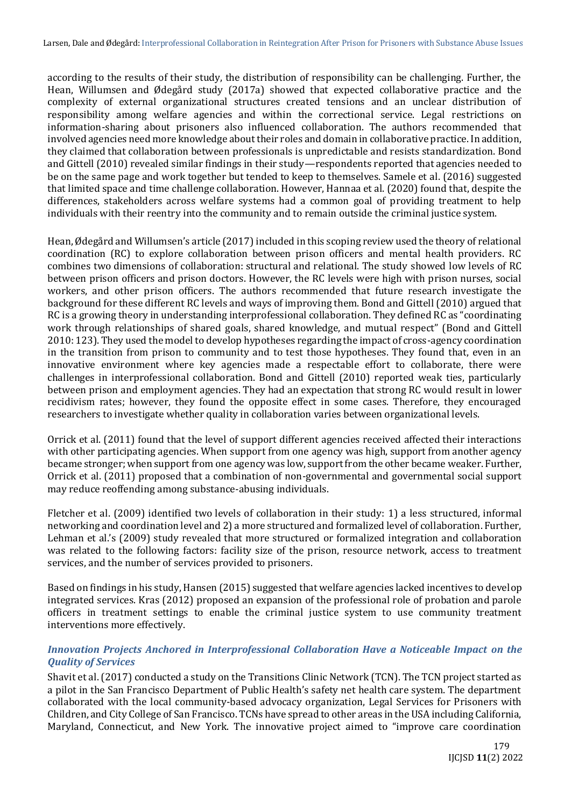according to the results of their study, the distribution of responsibility can be challenging. Further, the Hean, Willumsen and Ødegård study (2017a) showed that expected collaborative practice and the complexity of external organizational structures created tensions and an unclear distribution of responsibility among welfare agencies and within the correctional service. Legal restrictions on information-sharing about prisoners also influenced collaboration. The authors recommended that involved agencies need more knowledge about their roles and domain in collaborative practice. In addition, they claimed that collaboration between professionals is unpredictable and resists standardization. Bond and Gittell (2010) revealed similar findings in their study—respondents reported that agencies needed to be on the same page and work together but tended to keep to themselves. Samele et al. (2016) suggested that limited space and time challenge collaboration. However, Hannaa et al. (2020) found that, despite the differences, stakeholders across welfare systems had a common goal of providing treatment to help individuals with their reentry into the community and to remain outside the criminal justice system.

Hean, Ødegård and Willumsen's article (2017) included in this scoping review used the theory of relational coordination (RC) to explore collaboration between prison officers and mental health providers. RC combines two dimensions of collaboration: structural and relational. The study showed low levels of RC between prison officers and prison doctors. However, the RC levels were high with prison nurses, social workers, and other prison officers. The authors recommended that future research investigate the background for these different RC levels and ways of improving them. Bond and Gittell (2010) argued that RC is a growing theory in understanding interprofessional collaboration. They defined RC as "coordinating work through relationships of shared goals, shared knowledge, and mutual respect" (Bond and Gittell 2010: 123). They used the model to develop hypotheses regarding the impact of cross-agency coordination in the transition from prison to community and to test those hypotheses. They found that, even in an innovative environment where key agencies made a respectable effort to collaborate, there were challenges in interprofessional collaboration. Bond and Gittell (2010) reported weak ties, particularly between prison and employment agencies. They had an expectation that strong RC would result in lower recidivism rates; however, they found the opposite effect in some cases. Therefore, they encouraged researchers to investigate whether quality in collaboration varies between organizational levels.

Orrick et al. (2011) found that the level of support different agencies received affected their interactions with other participating agencies. When support from one agency was high, support from another agency became stronger; when support from one agency was low, support from the other became weaker. Further, Orrick et al. (2011) proposed that a combination of non-governmental and governmental social support may reduce reoffending among substance-abusing individuals.

Fletcher et al. (2009) identified two levels of collaboration in their study: 1) a less structured, informal networking and coordination level and 2) a more structured and formalized level of collaboration. Further, Lehman et al.'s (2009) study revealed that more structured or formalized integration and collaboration was related to the following factors: facility size of the prison, resource network, access to treatment services, and the number of services provided to prisoners.

Based on findings in his study, Hansen (2015) suggested that welfare agencies lacked incentives to develop integrated services. Kras (2012) proposed an expansion of the professional role of probation and parole officers in treatment settings to enable the criminal justice system to use community treatment interventions more effectively.

## *Innovation Projects Anchored in Interprofessional Collaboration Have a Noticeable Impact on the Quality of Services*

Shavit et al. (2017) conducted a study on the Transitions Clinic Network (TCN). The TCN project started as a pilot in the San Francisco Department of Public Health's safety net health care system. The department collaborated with the local community-based advocacy organization, Legal Services for Prisoners with Children, and City College of San Francisco. TCNs have spread to other areas in the USA including California, Maryland, Connecticut, and New York. The innovative project aimed to "improve care coordination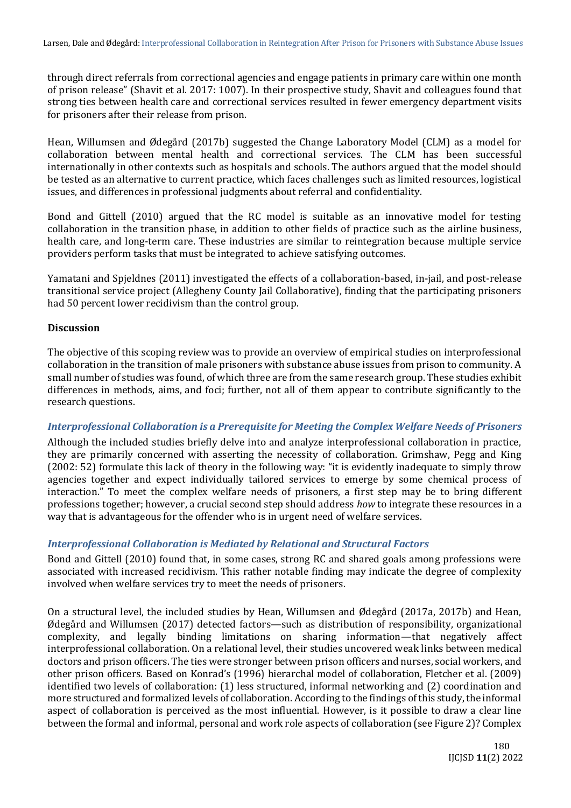through direct referrals from correctional agencies and engage patients in primary care within one month of prison release" (Shavit et al. 2017: 1007). In their prospective study, Shavit and colleagues found that strong ties between health care and correctional services resulted in fewer emergency department visits for prisoners after their release from prison.

Hean, Willumsen and Ødegård (2017b) suggested the Change Laboratory Model (CLM) as a model for collaboration between mental health and correctional services. The CLM has been successful internationally in other contexts such as hospitals and schools. The authors argued that the model should be tested as an alternative to current practice, which faces challenges such as limited resources, logistical issues, and differences in professional judgments about referral and confidentiality.

Bond and Gittell (2010) argued that the RC model is suitable as an innovative model for testing collaboration in the transition phase, in addition to other fields of practice such as the airline business, health care, and long-term care. These industries are similar to reintegration because multiple service providers perform tasks that must be integrated to achieve satisfying outcomes.

Yamatani and Spjeldnes (2011) investigated the effects of a collaboration-based, in-jail, and post-release transitional service project (Allegheny County Jail Collaborative), finding that the participating prisoners had 50 percent lower recidivism than the control group.

#### **Discussion**

The objective of this scoping review was to provide an overview of empirical studies on interprofessional collaboration in the transition of male prisoners with substance abuse issues from prison to community. A small number of studies was found, of which three are from the same research group. These studies exhibit differences in methods, aims, and foci; further, not all of them appear to contribute significantly to the research questions.

#### *Interprofessional Collaboration is a Prerequisite for Meeting the Complex Welfare Needs of Prisoners*

Although the included studies briefly delve into and analyze interprofessional collaboration in practice, they are primarily concerned with asserting the necessity of collaboration. Grimshaw, Pegg and King (2002: 52) formulate this lack of theory in the following way: "it is evidently inadequate to simply throw agencies together and expect individually tailored services to emerge by some chemical process of interaction." To meet the complex welfare needs of prisoners, a first step may be to bring different professions together; however, a crucial second step should address *how* to integrate these resources in a way that is advantageous for the offender who is in urgent need of welfare services.

## *Interprofessional Collaboration is Mediated by Relational and Structural Factors*

Bond and Gittell (2010) found that, in some cases, strong RC and shared goals among professions were associated with increased recidivism. This rather notable finding may indicate the degree of complexity involved when welfare services try to meet the needs of prisoners.

On a structural level, the included studies by Hean, Willumsen and Ødegård (2017a, 2017b) and Hean, Ødegård and Willumsen (2017) detected factors—such as distribution of responsibility, organizational complexity, and legally binding limitations on sharing information—that negatively affect interprofessional collaboration. On a relational level, their studies uncovered weak links between medical doctors and prison officers. The ties were stronger between prison officers and nurses, social workers, and other prison officers. Based on Konrad's (1996) hierarchal model of collaboration, Fletcher et al. (2009) identified two levels of collaboration: (1) less structured, informal networking and (2) coordination and more structured and formalized levels of collaboration. According to the findings of this study, the informal aspect of collaboration is perceived as the most influential. However, is it possible to draw a clear line between the formal and informal, personal and work role aspects of collaboration (see Figure 2)? Complex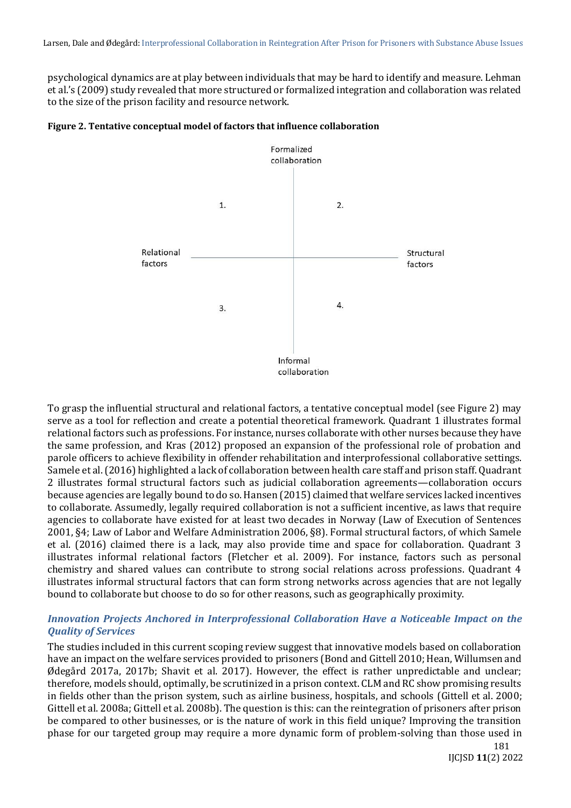psychological dynamics are at play between individuals that may be hard to identify and measure. Lehman et al.'s (2009) study revealed that more structured or formalized integration and collaboration was related to the size of the prison facility and resource network.





To grasp the influential structural and relational factors, a tentative conceptual model (see Figure 2) may serve as a tool for reflection and create a potential theoretical framework. Quadrant 1 illustrates formal relational factors such as professions. For instance, nurses collaborate with other nurses because they have the same profession, and Kras (2012) proposed an expansion of the professional role of probation and parole officers to achieve flexibility in offender rehabilitation and interprofessional collaborative settings. Samele et al. (2016) highlighted a lack of collaboration between health care staff and prison staff. Quadrant 2 illustrates formal structural factors such as judicial collaboration agreements—collaboration occurs because agencies are legally bound to do so. Hansen (2015) claimed that welfare services lacked incentives to collaborate. Assumedly, legally required collaboration is not a sufficient incentive, as laws that require agencies to collaborate have existed for at least two decades in Norway (Law of Execution of Sentences 2001, §4; Law of Labor and Welfare Administration 2006, §8). Formal structural factors, of which Samele et al. (2016) claimed there is a lack, may also provide time and space for collaboration. Quadrant 3 illustrates informal relational factors (Fletcher et al. 2009). For instance, factors such as personal chemistry and shared values can contribute to strong social relations across professions. Quadrant 4 illustrates informal structural factors that can form strong networks across agencies that are not legally bound to collaborate but choose to do so for other reasons, such as geographically proximity.

## *Innovation Projects Anchored in Interprofessional Collaboration Have a Noticeable Impact on the Quality of Services*

The studies included in this current scoping review suggest that innovative models based on collaboration have an impact on the welfare services provided to prisoners (Bond and Gittell 2010; Hean, Willumsen and Ødegård 2017a, 2017b; Shavit et al. 2017). However, the effect is rather unpredictable and unclear; therefore, models should, optimally, be scrutinized in a prison context. CLM and RC show promising results in fields other than the prison system, such as airline business, hospitals, and schools (Gittell et al. 2000; Gittell et al. 2008a; Gittell et al. 2008b). The question is this: can the reintegration of prisoners after prison be compared to other businesses, or is the nature of work in this field unique? Improving the transition phase for our targeted group may require a more dynamic form of problem-solving than those used in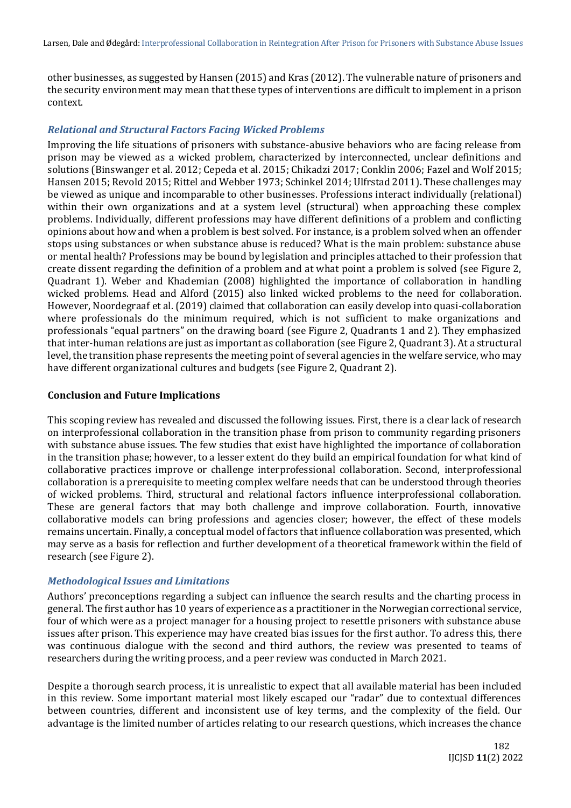other businesses, as suggested by Hansen (2015) and Kras (2012). The vulnerable nature of prisoners and the security environment may mean that these types of interventions are difficult to implement in a prison context.

#### *Relational and Structural Factors Facing Wicked Problems*

Improving the life situations of prisoners with substance-abusive behaviors who are facing release from prison may be viewed as a wicked problem, characterized by interconnected, unclear definitions and solutions (Binswanger et al. 2012; Cepeda et al. 2015; Chikadzi 2017; Conklin 2006; Fazel and Wolf 2015; Hansen 2015; Revold 2015; Rittel and Webber 1973; Schinkel 2014; Ulfrstad 2011). These challenges may be viewed as unique and incomparable to other businesses. Professions interact individually (relational) within their own organizations and at a system level (structural) when approaching these complex problems. Individually, different professions may have different definitions of a problem and conflicting opinions about how and when a problem is best solved. For instance, is a problem solved when an offender stops using substances or when substance abuse is reduced? What is the main problem: substance abuse or mental health? Professions may be bound by legislation and principles attached to their profession that create dissent regarding the definition of a problem and at what point a problem is solved (see Figure 2, Quadrant 1). Weber and Khademian (2008) highlighted the importance of collaboration in handling wicked problems. Head and Alford (2015) also linked wicked problems to the need for collaboration. However, Noordegraaf et al. (2019) claimed that collaboration can easily develop into quasi-collaboration where professionals do the minimum required, which is not sufficient to make organizations and professionals "equal partners" on the drawing board (see Figure 2, Quadrants 1 and 2). They emphasized that inter-human relations are just as important as collaboration (see Figure 2, Quadrant 3). At a structural level, the transition phase represents the meeting point of several agencies in the welfare service, who may have different organizational cultures and budgets (see Figure 2, Quadrant 2).

#### **Conclusion and Future Implications**

This scoping review has revealed and discussed the following issues. First, there is a clear lack of research on interprofessional collaboration in the transition phase from prison to community regarding prisoners with substance abuse issues. The few studies that exist have highlighted the importance of collaboration in the transition phase; however, to a lesser extent do they build an empirical foundation for what kind of collaborative practices improve or challenge interprofessional collaboration. Second, interprofessional collaboration is a prerequisite to meeting complex welfare needs that can be understood through theories of wicked problems. Third, structural and relational factors influence interprofessional collaboration. These are general factors that may both challenge and improve collaboration. Fourth, innovative collaborative models can bring professions and agencies closer; however, the effect of these models remains uncertain. Finally, a conceptual model of factors that influence collaboration was presented, which may serve as a basis for reflection and further development of a theoretical framework within the field of research (see Figure 2).

#### *Methodological Issues and Limitations*

Authors' preconceptions regarding a subject can influence the search results and the charting process in general. The first author has 10 years of experience as a practitioner in the Norwegian correctional service, four of which were as a project manager for a housing project to resettle prisoners with substance abuse issues after prison. This experience may have created bias issues for the first author. To adress this, there was continuous dialogue with the second and third authors, the review was presented to teams of researchers during the writing process, and a peer review was conducted in March 2021.

Despite a thorough search process, it is unrealistic to expect that all available material has been included in this review. Some important material most likely escaped our "radar" due to contextual differences between countries, different and inconsistent use of key terms, and the complexity of the field. Our advantage is the limited number of articles relating to our research questions, which increases the chance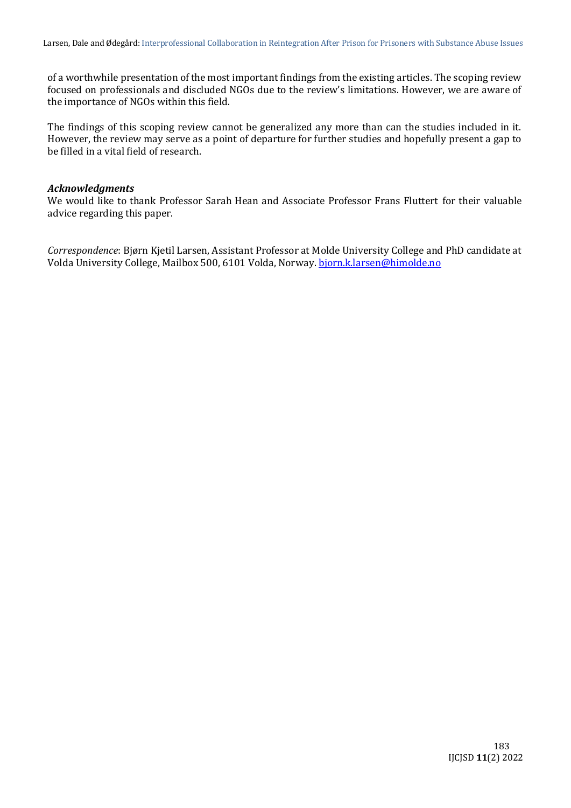of a worthwhile presentation of the most important findings from the existing articles. The scoping review focused on professionals and discluded NGOs due to the review's limitations. However, we are aware of the importance of NGOs within this field.

The findings of this scoping review cannot be generalized any more than can the studies included in it. However, the review may serve as a point of departure for further studies and hopefully present a gap to be filled in a vital field of research.

#### *Acknowledgments*

We would like to thank Professor Sarah Hean and Associate Professor Frans Fluttert for their valuable advice regarding this paper.

*Correspondence*: Bjørn Kjetil Larsen, Assistant Professor at Molde University College and PhD candidate at Volda University College, Mailbox 500, 6101 Volda, Norway. [bjorn.k.larsen@himolde.no](mailto:bjorn.k.larsen@himolde.no)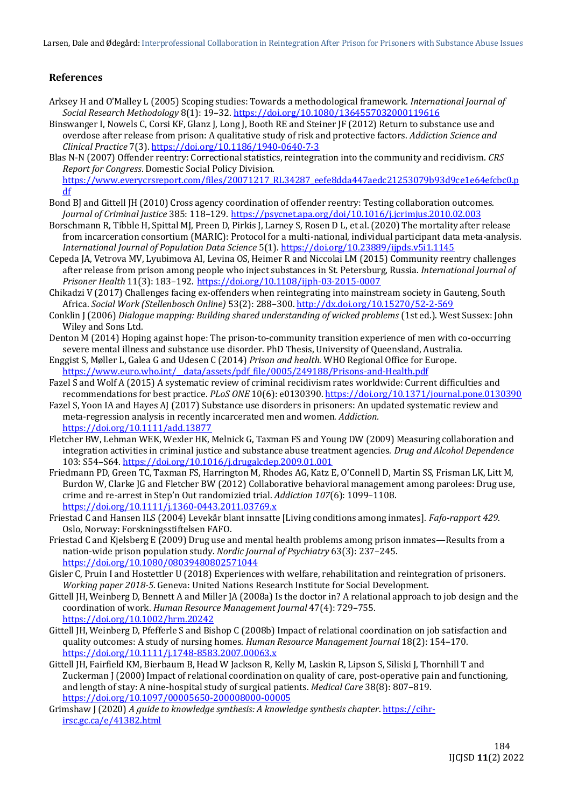Larsen, Dale and Ødegård: Interprofessional Collaboration in Reintegration After Prison for Prisoners with Substance Abuse Issues

#### **References**

- Arksey H and O'Malley L (2005) Scoping studies: Towards a methodological framework. *International Journal of Social Research Methodology* 8(1): 19–32[. https://doi.org/10.1080/1364557032000119616](https://doi.org/10.1080/1364557032000119616)
- Binswanger I, Nowels C, Corsi KF, Glanz J, Long J, Booth RE and Steiner JF (2012) Return to substance use and overdose after release from prison: A qualitative study of risk and protective factors. *Addiction Science and Clinical Practice* 7(3).<https://doi.org/10.1186/1940-0640-7-3>
- Blas N-N (2007) Offender reentry: Correctional statistics, reintegration into the community and recidivism. *CRS Report for Congress*. Domestic Social Policy Division. [https://www.everycrsreport.com/files/20071217\\_RL34287\\_eefe8dda447aedc21253079b93d9ce1e64efcbc0.p](https://www.everycrsreport.com/files/20071217_RL34287_eefe8dda447aedc21253079b93d9ce1e64efcbc0.pdf) [df](https://www.everycrsreport.com/files/20071217_RL34287_eefe8dda447aedc21253079b93d9ce1e64efcbc0.pdf)
- Bond BJ and Gittell JH (2010) Cross agency coordination of offender reentry: Testing collaboration outcomes. *Journal of Criminal Justice* 385: 118–129. <https://psycnet.apa.org/doi/10.1016/j.jcrimjus.2010.02.003>
- Borschmann R, Tibble H, Spittal MJ, Preen D, Pirkis J, Larney S, Rosen D L, et al. (2020) The mortality after release from incarceration consortium (MARIC): Protocol for a multi-national, individual participant data meta-analysis. *International Journal of Population Data Science* 5(1).<https://doi.org/10.23889/ijpds.v5i1.1145>
- Cepeda JA, Vetrova MV, Lyubimova AI, Levina OS, Heimer R and Niccolai LM (2015) Community reentry challenges after release from prison among people who inject substances in St. Petersburg, Russia. *International Journal of Prisoner Health* 11(3): 183–192. <https://doi.org/10.1108/ijph-03-2015-0007>
- Chikadzi V (2017) Challenges facing ex-offenders when reintegrating into mainstream society in Gauteng, South Africa. *Social Work (Stellenbosch Online)* 53(2): 288–300. <http://dx.doi.org/10.15270/52-2-569>
- Conklin J (2006) *Dialogue mapping: Building shared understanding of wicked problems* (1st ed.). West Sussex: John Wiley and Sons Ltd.
- Denton M (2014) Hoping against hope: The prison-to-community transition experience of men with co-occurring severe mental illness and substance use disorder. PhD Thesis, University of Queensland, Australia.
- Enggist S, Møller L, Galea G and Udesen C (2014) *Prison and health*. WHO Regional Office for Europe. https://www.euro.who.int/\_data/assets/pdf\_file/0005/249188/Prisons-and-Health.pdf
- Fazel S and Wolf A (2015) A systematic review of criminal recidivism rates worldwide: Current difficulties and recommendations for best practice. *PLoS ONE* 10(6): e0130390[. https://doi.org/10.1371/journal.pone.0130390](https://doi.org/10.1371/journal.pone.0130390)
- Fazel S, Yoon IA and Hayes AJ (2017) Substance use disorders in prisoners: An updated systematic review and meta-regression analysis in recently incarcerated men and women. *Addiction.* <https://doi.org/10.1111/add.13877>
- Fletcher BW, Lehman WEK, Wexler HK, Melnick G, Taxman FS and Young DW (2009) Measuring collaboration and integration activities in criminal justice and substance abuse treatment agencies. *Drug and Alcohol Dependence* 103: S54–S64. <https://doi.org/10.1016/j.drugalcdep.2009.01.001>
- Friedmann PD, Green TC, Taxman FS, Harrington M, Rhodes AG, Katz E, O'Connell D, Martin SS, Frisman LK, Litt M, Burdon W, Clarke JG and Fletcher BW (2012) Collaborative behavioral management among parolees: Drug use, crime and re-arrest in Step'n Out randomizied trial. *Addiction 107*(6): 1099–1108. <https://doi.org/10.1111/j.1360-0443.2011.03769.x>
- Friestad C and Hansen ILS (2004) Levekår blant innsatte [Living conditions among inmates]. *Fafo-rapport 429*. Oslo, Norway: Forskningsstiftelsen FAFO.
- Friestad C and Kjelsberg E (2009) Drug use and mental health problems among prison inmates—Results from a nation-wide prison population study. *Nordic Journal of Psychiatry* 63(3): 237–245. <https://doi.org/10.1080/08039480802571044>
- Gisler C, Pruin I and Hostettler U (2018) Experiences with welfare, rehabilitation and reintegration of prisoners. *Working paper 2018-5*. Geneva: United Nations Research Institute for Social Development.
- Gittell JH, Weinberg D, Bennett A and Miller JA (2008a) Is the doctor in? A relational approach to job design and the coordination of work. *Human Resource Management Journal* 47(4): 729–755. <https://doi.org/10.1002/hrm.20242>
- Gittell JH, Weinberg D, Pfefferle S and Bishop C (2008b) Impact of relational coordination on job satisfaction and quality outcomes: A study of nursing homes. *Human Resource Management Journal* 18(2): 154–170. <https://doi.org/10.1111/j.1748-8583.2007.00063.x>
- Gittell JH, Fairfield KM, Bierbaum B, Head W Jackson R, Kelly M, Laskin R, Lipson S, Siliski J, Thornhill T and Zuckerman J (2000) Impact of relational coordination on quality of care, post-operative pain and functioning, and length of stay: A nine-hospital study of surgical patients. *Medical Care* 38(8): 807–819. <https://doi.org/10.1097/00005650-200008000-00005>
- Grimshaw J (2020) *A guide to knowledge synthesis: A knowledge synthesis chapter*[. https://cihr](https://cihr-irsc.gc.ca/e/41382.html)[irsc.gc.ca/e/41382.html](https://cihr-irsc.gc.ca/e/41382.html)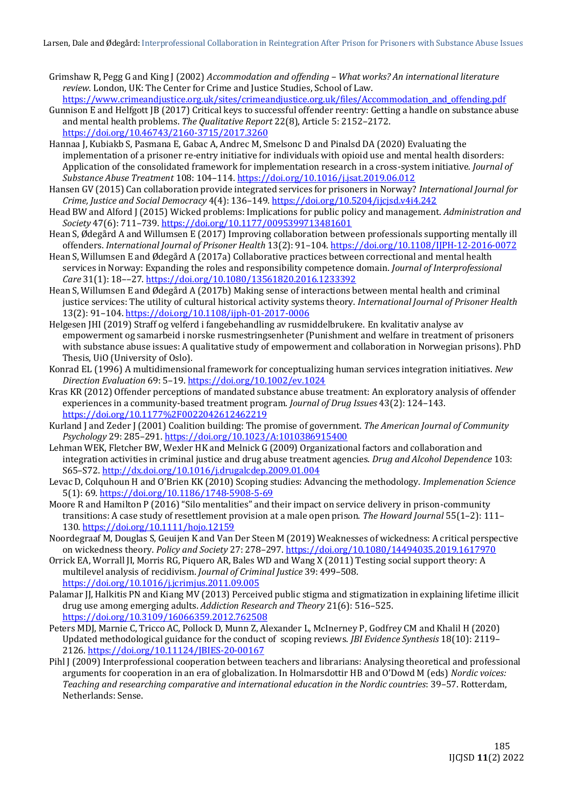- Grimshaw R, Pegg G and King J (2002) *Accommodation and offending – What works? An international literature review*. London, UK: The Center for Crime and Justice Studies, School of Law.
- [https://www.crimeandjustice.org.uk/sites/crimeandjustice.org.uk/files/Accommodation\\_and\\_offending.pdf](https://www.crimeandjustice.org.uk/sites/crimeandjustice.org.uk/files/Accommodation_and_offending.pdf) Gunnison E and Helfgott JB (2017) Critical keys to successful offender reentry: Getting a handle on substance abuse and mental health problems. *The Qualitative Report* 22(8), Article 5: 2152–2172. <https://doi.org/10.46743/2160-3715/2017.3260>
- Hannaa J, Kubiakb S, Pasmana E, Gabac A, Andrec M, Smelsonc D and Pinalsd DA (2020) Evaluating the implementation of a prisoner re-entry initiative for individuals with opioid use and mental health disorders: Application of the consolidated framework for implementation research in a cross-system initiative. *Journal of Substance Abuse Treatment* 108: 104–114. <https://doi.org/10.1016/j.jsat.2019.06.012>
- Hansen GV (2015) Can collaboration provide integrated services for prisoners in Norway? *International Journal for Crime, Justice and Social Democracy* 4(4): 136–149. <https://doi.org/10.5204/ijcjsd.v4i4.242>
- Head BW and Alford J (2015) Wicked problems: Implications for public policy and management. *Administration and Society* 47(6): 711–739[. https://doi.org/10.1177/0095399713481601](https://doi.org/10.1177%2F0095399713481601)
- Hean S, Ødegård A and Willumsen E (2017) Improving collaboration between professionals supporting mentally ill offenders. *International Journal of Prisoner Health* 13(2): 91–104.<https://doi.org/10.1108/IJPH-12-2016-0072>
- Hean S, Willumsen E and Ødegård A (2017a) Collaborative practices between correctional and mental health services in Norway: Expanding the roles and responsibility competence domain. *Journal of Interprofessional Care* 31(1): 18––27[. https://doi.org/10.1080/13561820.2016.1233392](https://doi.org/10.1080/13561820.2016.1233392)
- Hean S, Willumsen E and Ødegård A (2017b) Making sense of interactions between mental health and criminal justice services: The utility of cultural historical activity systems theory. *International Journal of Prisoner Health* 13(2): 91–104. <https://doi.org/10.1108/ijph-01-2017-0006>
- Helgesen JHI (2019) Straff og velferd i fangebehandling av rusmiddelbrukere. En kvalitativ analyse av empowerment og samarbeid i norske rusmestringsenheter (Punishment and welfare in treatment of prisoners with substance abuse issues: A qualitative study of empowerment and collaboration in Norwegian prisons). PhD Thesis, UiO (University of Oslo).
- Konrad EL (1996) A multidimensional framework for conceptualizing human services integration initiatives. *New Direction Evaluation* 69: 5–19[. https://doi.org/10.1002/ev.1024](https://doi.org/10.1002/ev.1024)
- Kras KR (2012) Offender perceptions of mandated substance abuse treatment: An exploratory analysis of offender experiences in a community-based treatment program. *Journal of Drug Issues* 43(2): 124–143. <https://doi.org/10.1177%2F0022042612462219>
- Kurland J and Zeder J (2001) Coalition building: The promise of government. *The American Journal of Community Psychology* 29: 285–291. <https://doi.org/10.1023/A:1010386915400>
- Lehman WEK, Fletcher BW, Wexler HK and Melnick G (2009) Organizational factors and collaboration and integration activities in criminal justice and drug abuse treatment agencies. *Drug and Alcohol Dependence* 103: S65–S72. <http://dx.doi.org/10.1016/j.drugalcdep.2009.01.004>
- Levac D, Colquhoun H and O'Brien KK (2010) Scoping studies: Advancing the methodology. *Implemenation Science*  5(1): 69.<https://doi.org/10.1186/1748-5908-5-69>
- Moore R and Hamilton P (2016) "Silo mentalities" and their impact on service delivery in prison-community transitions: A case study of resettlement provision at a male open prison. *The Howard Journal* 55(1–2): 111– 130. <https://doi.org/10.1111/hojo.12159>
- Noordegraaf M, Douglas S, Geuijen K and Van Der Steen M (2019) Weaknesses of wickedness: A critical perspective on wickedness theory. *Policy and Society* 27: 278–297.<https://doi.org/10.1080/14494035.2019.1617970>
- Orrick EA, Worrall JI, Morris RG, Piquero AR, Bales WD and Wang X (2011) Testing social support theory: A multilevel analysis of recidivism. *Journal of Criminal Justice* 39: 499–508. <https://doi.org/10.1016/j.jcrimjus.2011.09.005>
- Palamar JJ, Halkitis PN and Kiang MV (2013) Perceived public stigma and stigmatization in explaining lifetime illicit drug use among emerging adults. *Addiction Research and Theory* 21(6): 516–525. <https://doi.org/10.3109/16066359.2012.762508>
- Peters MDJ, Marnie C, Tricco AC, Pollock D, Munn Z, Alexander L, McInerney P, Godfrey CM and Khalil H (2020) Updated methodological guidance for the conduct of scoping reviews. *JBI Evidence Synthesis* 18(10): 2119– 2126[. https://doi.org/10.11124/JBIES-20-00167](https://doi.org/10.11124/JBIES-20-00167)
- Pihl J (2009) Interprofessional cooperation between teachers and librarians: Analysing theoretical and professional arguments for cooperation in an era of globalization. In Holmarsdottir HB and O'Dowd M (eds) *Nordic voices: Teaching and researching comparative and international education in the Nordic countries*: 39–57. Rotterdam, Netherlands: Sense.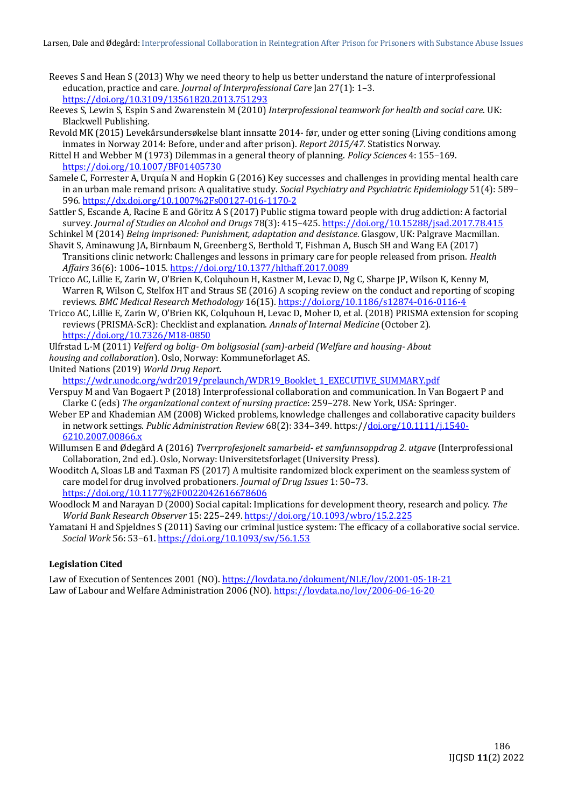- Reeves S and Hean S (2013) Why we need theory to help us better understand the nature of interprofessional education, practice and care. *Journal of Interprofessional Care* Jan 27(1): 1–3. <https://doi.org/10.3109/13561820.2013.751293>
- Reeves S, Lewin S, Espin S and Zwarenstein M (2010) *Interprofessional teamwork for health and social care*. UK: Blackwell Publishing.
- Revold MK (2015) Levekårsundersøkelse blant innsatte 2014- før, under og etter soning (Living conditions among inmates in Norway 2014: Before, under and after prison). *Report 2015/47*. Statistics Norway.
- Rittel H and Webber M (1973) Dilemmas in a general theory of planning. *Policy Sciences* 4: 155–169. <https://doi.org/10.1007/BF01405730>
- Samele C, Forrester A, Urquía N and Hopkin G (2016) Key successes and challenges in providing mental health care in an urban male remand prison: A qualitative study. *Social Psychiatry and Psychiatric Epidemiology* 51(4): 589– 596. <https://dx.doi.org/10.1007%2Fs00127-016-1170-2>
- Sattler S, Escande A, Racine E and Göritz A S (2017) Public stigma toward people with drug addiction: A factorial survey. *Journal of Studies on Alcohol and Drugs* 78(3): 415–425[. https://doi.org/10.15288/jsad.2017.78.415](https://doi.org/10.15288/jsad.2017.78.415)
- Schinkel M (2014) *Being imprisoned: Punishment, adaptation and desistance*. Glasgow, UK: Palgrave Macmillan.
- Shavit S, Aminawung JA, Birnbaum N, Greenberg S, Berthold T, Fishman A, Busch SH and Wang EA (2017) Transitions clinic network: Challenges and lessons in primary care for people released from prison. *Health Affairs* 36(6): 1006–1015. <https://doi.org/10.1377/hlthaff.2017.0089>
- Tricco AC, Lillie E, Zarin W, O'Brien K, Colquhoun H, Kastner M, Levac D, Ng C, Sharpe JP, Wilson K, Kenny M, Warren R, Wilson C, Stelfox HT and Straus SE (2016) A scoping review on the conduct and reporting of scoping reviews. *BMC Medical Research Methodology* 16(15)[. https://doi.org/10.1186/s12874-016-0116-4](https://doi.org/10.1186/s12874-016-0116-4)
- Tricco AC, Lillie E, Zarin W, O'Brien KK, Colquhoun H, Levac D, Moher D, et al. (2018) PRISMA extension for scoping reviews (PRISMA-ScR): Checklist and explanation. *Annals of Internal Medicine* (October 2). <https://doi.org/10.7326/M18-0850>
- Ulfrstad L-M (2011) *Velferd og bolig- Om boligsosial (sam)-arbeid (Welfare and housing- About*
- *housing and collaboration*). Oslo, Norway: Kommuneforlaget AS.

United Nations (2019) *World Drug Report*.

[https://wdr.unodc.org/wdr2019/prelaunch/WDR19\\_Booklet\\_1\\_EXECUTIVE\\_SUMMARY.pdf](https://wdr.unodc.org/wdr2019/prelaunch/WDR19_Booklet_1_EXECUTIVE_SUMMARY.pdf)

- Verspuy M and Van Bogaert P (2018) Interprofessional collaboration and communication. In Van Bogaert P and Clarke C (eds) *The organizational context of nursing practice*: 259–278. New York, USA: Springer.
- Weber EP and Khademian AM (2008) Wicked problems, knowledge challenges and collaborative capacity builders in network settings. *Public Administration Review* 68(2): 334–349. https:/[/doi.org/10.1111/j.1540-](https://doi.org/10.1111/j.1540-6210.2007.00866.x) [6210.2007.00866.x](https://doi.org/10.1111/j.1540-6210.2007.00866.x)
- Willumsen E and Ødegård A (2016) *Tverrprofesjonelt samarbeid- et samfunnsoppdrag 2. utgave* (Interprofessional Collaboration, 2nd ed.). Oslo, Norway: Universitetsforlaget (University Press).
- Wooditch A, Sloas LB and Taxman FS (2017) A multisite randomized block experiment on the seamless system of care model for drug involved probationers. *Journal of Drug Issues* 1: 50–73. <https://doi.org/10.1177%2F0022042616678606>
- Woodlock M and Narayan D (2000) Social capital: Implications for development theory, research and policy. *The World Bank Research Observer* 15: 225–249. <https://doi.org/10.1093/wbro/15.2.225>
- Yamatani H and Spjeldnes S (2011) Saving our criminal justice system: The efficacy of a collaborative social service. *Social Work* 56: 53–61. <https://doi.org/10.1093/sw/56.1.53>

#### **Legislation Cited**

Law of Execution of Sentences 2001 (NO)[. https://lovdata.no/dokument/NLE/lov/2001-05-18-21](https://lovdata.no/dokument/NLE/lov/2001-05-18-21) Law of Labour and Welfare Administration 2006 (NO)[. https://lovdata.no/lov/2006-06-16-20](https://lovdata.no/lov/2006-06-16-20)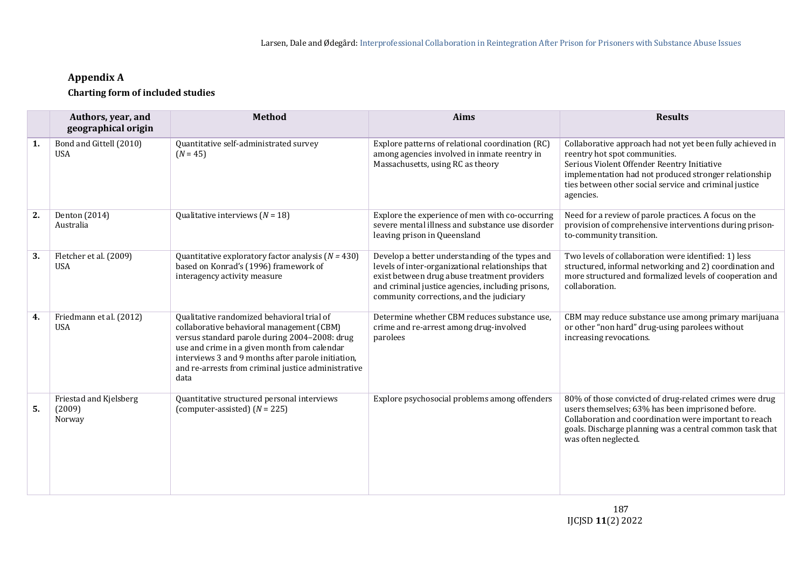# **Appendix A**

## **Charting form of included studies**

<span id="page-13-0"></span>

|    | Authors, year, and<br>geographical origin  | <b>Method</b>                                                                                                                                                                                                                                                                                                 | <b>Aims</b>                                                                                                                                                                                                                                           | <b>Results</b>                                                                                                                                                                                                                                                            |
|----|--------------------------------------------|---------------------------------------------------------------------------------------------------------------------------------------------------------------------------------------------------------------------------------------------------------------------------------------------------------------|-------------------------------------------------------------------------------------------------------------------------------------------------------------------------------------------------------------------------------------------------------|---------------------------------------------------------------------------------------------------------------------------------------------------------------------------------------------------------------------------------------------------------------------------|
| 1. | Bond and Gittell (2010)<br><b>USA</b>      | Quantitative self-administrated survey<br>$(N = 45)$                                                                                                                                                                                                                                                          | Explore patterns of relational coordination (RC)<br>among agencies involved in inmate reentry in<br>Massachusetts, using RC as theory                                                                                                                 | Collaborative approach had not yet been fully achieved in<br>reentry hot spot communities.<br>Serious Violent Offender Reentry Initiative<br>implementation had not produced stronger relationship<br>ties between other social service and criminal justice<br>agencies. |
| 2. | Denton (2014)<br>Australia                 | Qualitative interviews $(N = 18)$                                                                                                                                                                                                                                                                             | Explore the experience of men with co-occurring<br>severe mental illness and substance use disorder<br>leaving prison in Queensland                                                                                                                   | Need for a review of parole practices. A focus on the<br>provision of comprehensive interventions during prison-<br>to-community transition.                                                                                                                              |
| 3. | Fletcher et al. (2009)<br><b>USA</b>       | Quantitative exploratory factor analysis ( $N = 430$ )<br>based on Konrad's (1996) framework of<br>interagency activity measure                                                                                                                                                                               | Develop a better understanding of the types and<br>levels of inter-organizational relationships that<br>exist between drug abuse treatment providers<br>and criminal justice agencies, including prisons,<br>community corrections, and the judiciary | Two levels of collaboration were identified: 1) less<br>structured, informal networking and 2) coordination and<br>more structured and formalized levels of cooperation and<br>collaboration.                                                                             |
| 4. | Friedmann et al. (2012)<br><b>USA</b>      | Qualitative randomized behavioral trial of<br>collaborative behavioral management (CBM)<br>versus standard parole during 2004-2008: drug<br>use and crime in a given month from calendar<br>interviews 3 and 9 months after parole initiation,<br>and re-arrests from criminal justice administrative<br>data | Determine whether CBM reduces substance use,<br>crime and re-arrest among drug-involved<br>parolees                                                                                                                                                   | CBM may reduce substance use among primary marijuana<br>or other "non hard" drug-using parolees without<br>increasing revocations.                                                                                                                                        |
| 5. | Friestad and Kjelsberg<br>(2009)<br>Norway | Quantitative structured personal interviews<br>(computer-assisted) $(N = 225)$                                                                                                                                                                                                                                | Explore psychosocial problems among offenders                                                                                                                                                                                                         | 80% of those convicted of drug-related crimes were drug<br>users themselves; 63% has been imprisoned before.<br>Collaboration and coordination were important to reach<br>goals. Discharge planning was a central common task that<br>was often neglected.                |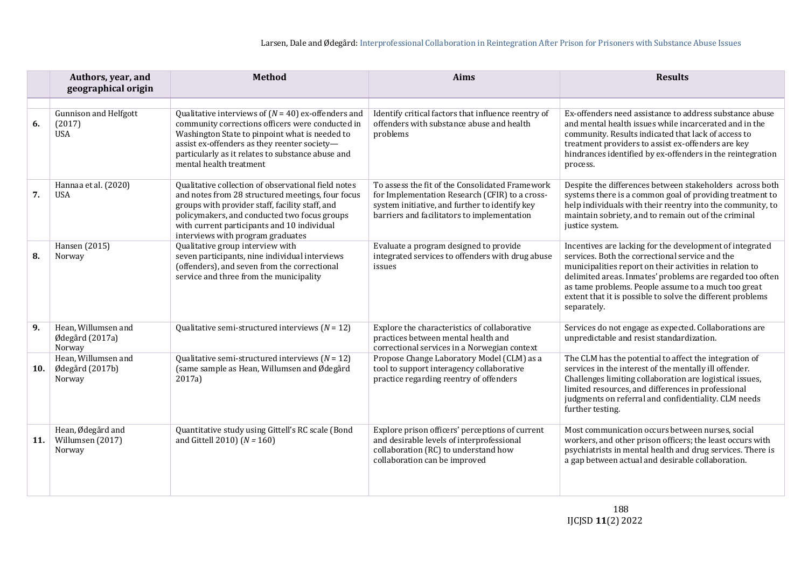|     | Authors, year, and<br>geographical origin            | <b>Method</b>                                                                                                                                                                                                                                                                                   | <b>Aims</b>                                                                                                                                                                                        | <b>Results</b>                                                                                                                                                                                                                                                                                                                                                           |
|-----|------------------------------------------------------|-------------------------------------------------------------------------------------------------------------------------------------------------------------------------------------------------------------------------------------------------------------------------------------------------|----------------------------------------------------------------------------------------------------------------------------------------------------------------------------------------------------|--------------------------------------------------------------------------------------------------------------------------------------------------------------------------------------------------------------------------------------------------------------------------------------------------------------------------------------------------------------------------|
| 6.  | <b>Gunnison and Helfgott</b><br>(2017)<br><b>USA</b> | Qualitative interviews of $(N = 40)$ ex-offenders and<br>community corrections officers were conducted in<br>Washington State to pinpoint what is needed to<br>assist ex-offenders as they reenter society-<br>particularly as it relates to substance abuse and<br>mental health treatment     | Identify critical factors that influence reentry of<br>offenders with substance abuse and health<br>problems                                                                                       | Ex-offenders need assistance to address substance abuse<br>and mental health issues while incarcerated and in the<br>community. Results indicated that lack of access to<br>treatment providers to assist ex-offenders are key<br>hindrances identified by ex-offenders in the reintegration<br>process.                                                                 |
| 7.  | Hannaa et al. (2020)<br><b>USA</b>                   | Qualitative collection of observational field notes<br>and notes from 28 structured meetings, four focus<br>groups with provider staff, facility staff, and<br>policymakers, and conducted two focus groups<br>with current participants and 10 individual<br>interviews with program graduates | To assess the fit of the Consolidated Framework<br>for Implementation Research (CFIR) to a cross-<br>system initiative, and further to identify key<br>barriers and facilitators to implementation | Despite the differences between stakeholders across both<br>systems there is a common goal of providing treatment to<br>help individuals with their reentry into the community, to<br>maintain sobriety, and to remain out of the criminal<br>justice system.                                                                                                            |
| 8.  | Hansen (2015)<br>Norway                              | Qualitative group interview with<br>seven participants, nine individual interviews<br>(offenders), and seven from the correctional<br>service and three from the municipality                                                                                                                   | Evaluate a program designed to provide<br>integrated services to offenders with drug abuse<br>issues                                                                                               | Incentives are lacking for the development of integrated<br>services. Both the correctional service and the<br>municipalities report on their activities in relation to<br>delimited areas. Inmates' problems are regarded too often<br>as tame problems. People assume to a much too great<br>extent that it is possible to solve the different problems<br>separately. |
| 9.  | Hean, Willumsen and<br>Ødegård (2017a)<br>Norway     | Qualitative semi-structured interviews $(N = 12)$                                                                                                                                                                                                                                               | Explore the characteristics of collaborative<br>practices between mental health and<br>correctional services in a Norwegian context                                                                | Services do not engage as expected. Collaborations are<br>unpredictable and resist standardization.                                                                                                                                                                                                                                                                      |
| 10. | Hean, Willumsen and<br>Ødegård (2017b)<br>Norway     | Qualitative semi-structured interviews $(N = 12)$<br>(same sample as Hean, Willumsen and Ødegård<br>2017a)                                                                                                                                                                                      | Propose Change Laboratory Model (CLM) as a<br>tool to support interagency collaborative<br>practice regarding reentry of offenders                                                                 | The CLM has the potential to affect the integration of<br>services in the interest of the mentally ill offender.<br>Challenges limiting collaboration are logistical issues,<br>limited resources, and differences in professional<br>judgments on referral and confidentiality. CLM needs<br>further testing.                                                           |
| 11. | Hean, Ødegård and<br>Willumsen (2017)<br>Norway      | Quantitative study using Gittell's RC scale (Bond<br>and Gittell 2010) $(N = 160)$                                                                                                                                                                                                              | Explore prison officers' perceptions of current<br>and desirable levels of interprofessional<br>collaboration (RC) to understand how<br>collaboration can be improved                              | Most communication occurs between nurses, social<br>workers, and other prison officers; the least occurs with<br>psychiatrists in mental health and drug services. There is<br>a gap between actual and desirable collaboration.                                                                                                                                         |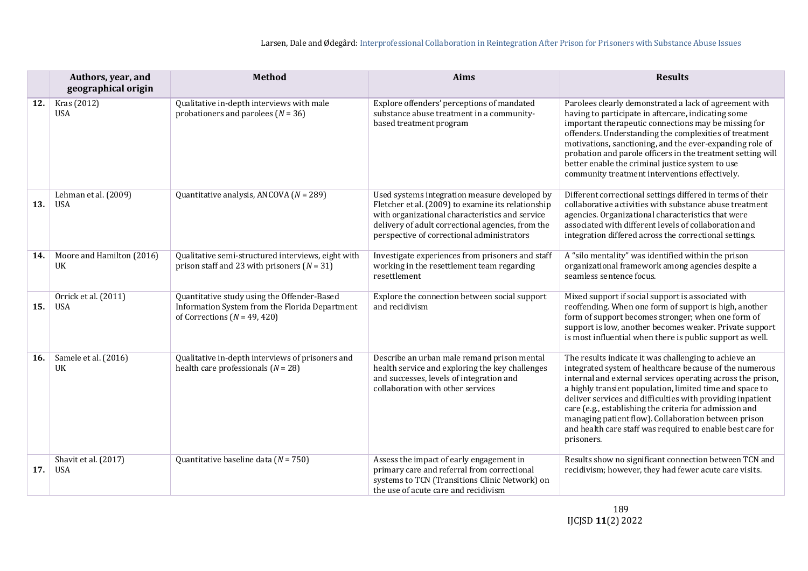|     | Authors, year, and<br>geographical origin | <b>Method</b>                                                                                                                     | <b>Aims</b>                                                                                                                                                                                                                                               | <b>Results</b>                                                                                                                                                                                                                                                                                                                                                                                                                                                                                           |
|-----|-------------------------------------------|-----------------------------------------------------------------------------------------------------------------------------------|-----------------------------------------------------------------------------------------------------------------------------------------------------------------------------------------------------------------------------------------------------------|----------------------------------------------------------------------------------------------------------------------------------------------------------------------------------------------------------------------------------------------------------------------------------------------------------------------------------------------------------------------------------------------------------------------------------------------------------------------------------------------------------|
| 12. | Kras (2012)<br><b>USA</b>                 | Qualitative in-depth interviews with male<br>probationers and parolees $(N = 36)$                                                 | Explore offenders' perceptions of mandated<br>substance abuse treatment in a community-<br>based treatment program                                                                                                                                        | Parolees clearly demonstrated a lack of agreement with<br>having to participate in aftercare, indicating some<br>important therapeutic connections may be missing for<br>offenders. Understanding the complexities of treatment<br>motivations, sanctioning, and the ever-expanding role of<br>probation and parole officers in the treatment setting will<br>better enable the criminal justice system to use<br>community treatment interventions effectively.                                         |
| 13. | Lehman et al. (2009)<br>USA               | Quantitative analysis, ANCOVA ( $N = 289$ )                                                                                       | Used systems integration measure developed by<br>Fletcher et al. (2009) to examine its relationship<br>with organizational characteristics and service<br>delivery of adult correctional agencies, from the<br>perspective of correctional administrators | Different correctional settings differed in terms of their<br>collaborative activities with substance abuse treatment<br>agencies. Organizational characteristics that were<br>associated with different levels of collaboration and<br>integration differed across the correctional settings.                                                                                                                                                                                                           |
| 14. | Moore and Hamilton (2016)<br>UK           | Qualitative semi-structured interviews, eight with<br>prison staff and 23 with prisoners $(N = 31)$                               | Investigate experiences from prisoners and staff<br>working in the resettlement team regarding<br>resettlement                                                                                                                                            | A "silo mentality" was identified within the prison<br>organizational framework among agencies despite a<br>seamless sentence focus.                                                                                                                                                                                                                                                                                                                                                                     |
| 15. | Orrick et al. (2011)<br><b>USA</b>        | Quantitative study using the Offender-Based<br>Information System from the Florida Department<br>of Corrections ( $N = 49, 420$ ) | Explore the connection between social support<br>and recidivism                                                                                                                                                                                           | Mixed support if social support is associated with<br>reoffending. When one form of support is high, another<br>form of support becomes stronger; when one form of<br>support is low, another becomes weaker. Private support<br>is most influential when there is public support as well.                                                                                                                                                                                                               |
| 16. | Samele et al. (2016)<br>UK                | Qualitative in-depth interviews of prisoners and<br>health care professionals $(N = 28)$                                          | Describe an urban male remand prison mental<br>health service and exploring the key challenges<br>and successes, levels of integration and<br>collaboration with other services                                                                           | The results indicate it was challenging to achieve an<br>integrated system of healthcare because of the numerous<br>internal and external services operating across the prison,<br>a highly transient population, limited time and space to<br>deliver services and difficulties with providing inpatient<br>care (e.g., establishing the criteria for admission and<br>managing patient flow). Collaboration between prison<br>and health care staff was required to enable best care for<br>prisoners. |
| 17. | Shavit et al. (2017)<br><b>USA</b>        | Quantitative baseline data ( $N = 750$ )                                                                                          | Assess the impact of early engagement in<br>primary care and referral from correctional<br>systems to TCN (Transitions Clinic Network) on<br>the use of acute care and recidivism                                                                         | Results show no significant connection between TCN and<br>recidivism; however, they had fewer acute care visits.                                                                                                                                                                                                                                                                                                                                                                                         |